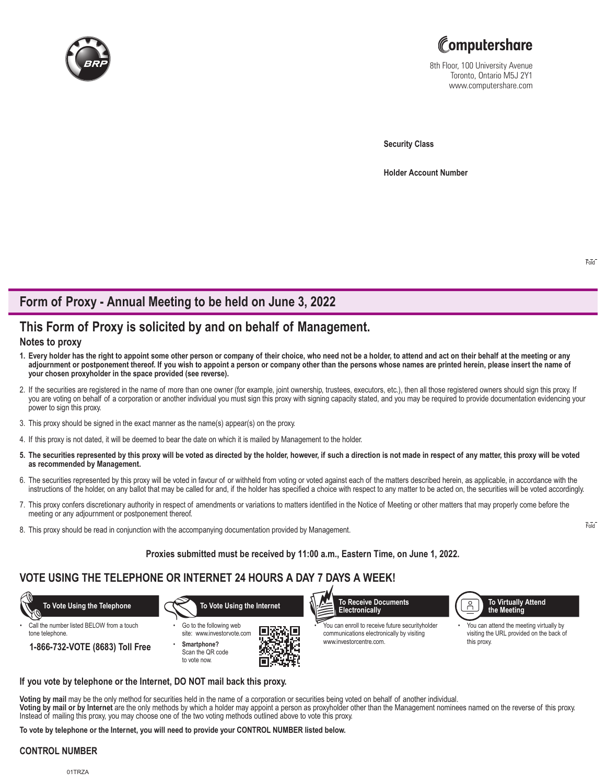



8th Floor, 100 University Avenue Toronto, Ontario M5J 2Y1 www.computershare.com

**Security Class**

**Holder Account Number** 

## **Form of Proxy - Annual Meeting to be held on June 3, 2022**

# **This Form of Proxy is solicited by and on behalf of Management.**

### **Notes to proxy**

- **1. Every holder has the right to appoint some other person or company of their choice, who need not be a holder, to attend and act on their behalf at the meeting or any adjournment or postponement thereof. If you wish to appoint a person or company other than the persons whose names are printed herein, please insert the name of your chosen proxyholder in the space provided (see reverse).**
- 2. If the securities are registered in the name of more than one owner (for example, joint ownership, trustees, executors, etc.), then all those registered owners should sign this proxy. If you are voting on behalf of a corporation or another individual you must sign this proxy with signing capacity stated, and you may be required to provide documentation evidencing your power to sign this proxy.
- 3. This proxy should be signed in the exact manner as the name(s) appear(s) on the proxy.
- 4. If this proxy is not dated, it will be deemed to bear the date on which it is mailed by Management to the holder.
- **5. The securities represented by this proxy will be voted as directed by the holder, however, if such a direction is not made in respect of any matter, this proxy will be voted as recommended by Management.**
- 6. The securities represented by this proxy will be voted in favour of or withheld from voting or voted against each of the matters described herein, as applicable, in accordance with the instructions of the holder, on any ballot that may be called for and, if the holder has specified a choice with respect to any matter to be acted on, the securities will be voted accordingly.
- 7. This proxy confers discretionary authority in respect of amendments or variations to matters identified in the Notice of Meeting or other matters that may properly come before the meeting or any adjournment or postponement thereof.
- 8. This proxy should be read in conjunction with the accompanying documentation provided by Management.

### **Proxies submitted must be received by 11:00 a.m., Eastern Time, on June 1, 2022.**

## **VOTE USING THE TELEPHONE OR INTERNET 24 HOURS A DAY 7 DAYS A WEEK!**



### **If you vote by telephone or the Internet, DO NOT mail back this proxy.**

**Voting by mail** may be the only method for securities held in the name of a corporation or securities being voted on behalf of another individual. **Voting by mail or by Internet** are the only methods by which a holder may appoint a person as proxyholder other than the Management nominees named on the reverse of this proxy. Instead of mailing this proxy, you may choose one of the two voting methods outlined above to vote this proxy.

**To vote by telephone or the Internet, you will need to provide your CONTROL NUMBER listed below.**

### **CONTROL NUMBER**